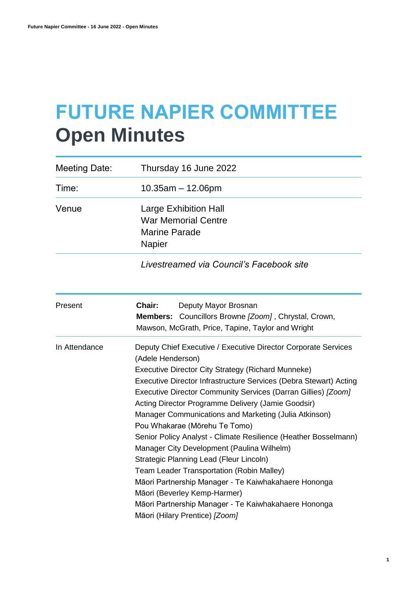# **FUTURE NAPIER COMMITTEE Open Minutes**

| <b>Meeting Date:</b> | Thursday 16 June 2022                                                                                                                                                                                                                                                                                                                                                                                                                                                                                                                                                                                                                                                                                                                                                                                                      |
|----------------------|----------------------------------------------------------------------------------------------------------------------------------------------------------------------------------------------------------------------------------------------------------------------------------------------------------------------------------------------------------------------------------------------------------------------------------------------------------------------------------------------------------------------------------------------------------------------------------------------------------------------------------------------------------------------------------------------------------------------------------------------------------------------------------------------------------------------------|
| Time:                | $10.35$ am $- 12.06$ pm                                                                                                                                                                                                                                                                                                                                                                                                                                                                                                                                                                                                                                                                                                                                                                                                    |
| Venue                | <b>Large Exhibition Hall</b><br><b>War Memorial Centre</b><br><b>Marine Parade</b><br>Napier                                                                                                                                                                                                                                                                                                                                                                                                                                                                                                                                                                                                                                                                                                                               |
|                      | Livestreamed via Council's Facebook site                                                                                                                                                                                                                                                                                                                                                                                                                                                                                                                                                                                                                                                                                                                                                                                   |
| Present              | Chair:<br>Deputy Mayor Brosnan<br>Councillors Browne [Zoom], Chrystal, Crown,<br>Members:<br>Mawson, McGrath, Price, Tapine, Taylor and Wright                                                                                                                                                                                                                                                                                                                                                                                                                                                                                                                                                                                                                                                                             |
| In Attendance        | Deputy Chief Executive / Executive Director Corporate Services<br>(Adele Henderson)<br>Executive Director City Strategy (Richard Munneke)<br>Executive Director Infrastructure Services (Debra Stewart) Acting<br>Executive Director Community Services (Darran Gillies) [Zoom]<br>Acting Director Programme Delivery (Jamie Goodsir)<br>Manager Communications and Marketing (Julia Atkinson)<br>Pou Whakarae (Mōrehu Te Tomo)<br>Senior Policy Analyst - Climate Resilience (Heather Bosselmann)<br>Manager City Development (Paulina Wilhelm)<br>Strategic Planning Lead (Fleur Lincoln)<br>Team Leader Transportation (Robin Malley)<br>Māori Partnership Manager - Te Kaiwhakahaere Hononga<br>Māori (Beverley Kemp-Harmer)<br>Māori Partnership Manager - Te Kaiwhakahaere Hononga<br>Māori (Hilary Prentice) [Zoom] |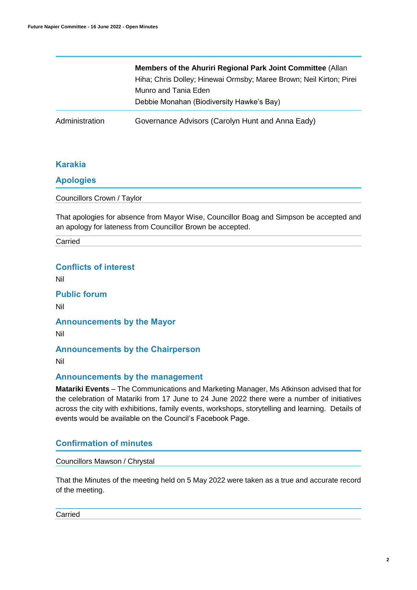|                | <b>Members of the Ahuriri Regional Park Joint Committee (Allan</b> ) |  |
|----------------|----------------------------------------------------------------------|--|
|                | Hiha; Chris Dolley; Hinewai Ormsby; Maree Brown; Neil Kirton; Pirei  |  |
|                | Munro and Tania Eden                                                 |  |
|                | Debbie Monahan (Biodiversity Hawke's Bay)                            |  |
| Administration | Governance Advisors (Carolyn Hunt and Anna Eady)                     |  |

# **Karakia**

# **Apologies**

Councillors Crown / Taylor

That apologies for absence from Mayor Wise, Councillor Boag and Simpson be accepted and an apology for lateness from Councillor Brown be accepted.

Carried

# **Conflicts of interest**

Nil

**Public forum** 

Nil

**Announcements by the Mayor**

Nil

# **Announcements by the Chairperson**

Nil

# **Announcements by the management**

**Matariki Events** – The Communications and Marketing Manager, Ms Atkinson advised that for the celebration of Matariki from 17 June to 24 June 2022 there were a number of initiatives across the city with exhibitions, family events, workshops, storytelling and learning. Details of events would be available on the Council's Facebook Page.

# **Confirmation of minutes**

Councillors Mawson / Chrystal

That the Minutes of the meeting held on 5 May 2022 were taken as a true and accurate record of the meeting.

Carried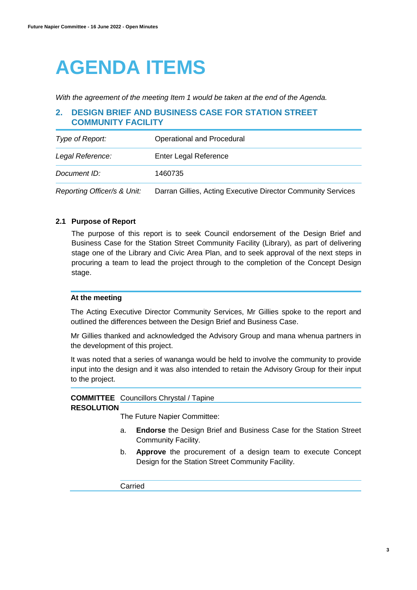# **AGENDA ITEMS**

*With the agreement of the meeting Item 1 would be taken at the end of the Agenda.*

# **2. DESIGN BRIEF AND BUSINESS CASE FOR STATION STREET COMMUNITY FACILITY**

| Type of Report:             | Operational and Procedural                                   |
|-----------------------------|--------------------------------------------------------------|
| Legal Reference:            | Enter Legal Reference                                        |
| Document ID:                | 1460735                                                      |
| Reporting Officer/s & Unit: | Darran Gillies, Acting Executive Director Community Services |

# **2.1 Purpose of Report**

The purpose of this report is to seek Council endorsement of the Design Brief and Business Case for the Station Street Community Facility (Library), as part of delivering stage one of the Library and Civic Area Plan, and to seek approval of the next steps in procuring a team to lead the project through to the completion of the Concept Design stage.

## **At the meeting**

The Acting Executive Director Community Services, Mr Gillies spoke to the report and outlined the differences between the Design Brief and Business Case.

Mr Gillies thanked and acknowledged the Advisory Group and mana whenua partners in the development of this project.

It was noted that a series of wananga would be held to involve the community to provide input into the design and it was also intended to retain the Advisory Group for their input to the project.

# **COMMITTEE**  Councillors Chrystal / Tapine

#### **RESOLUTION**

The Future Napier Committee:

- a. **Endorse** the Design Brief and Business Case for the Station Street Community Facility.
- b. **Approve** the procurement of a design team to execute Concept Design for the Station Street Community Facility.

Carried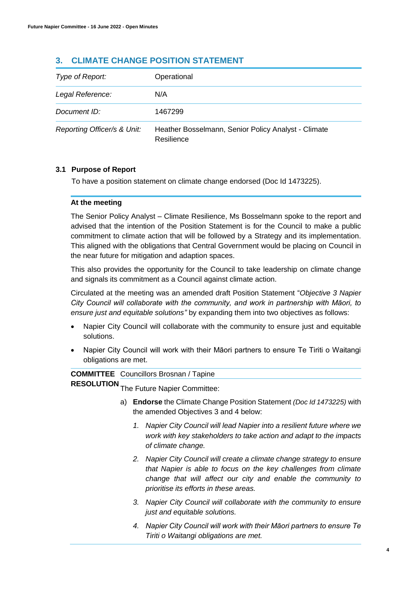# **3. CLIMATE CHANGE POSITION STATEMENT**

| Type of Report:             | Operational                                                       |
|-----------------------------|-------------------------------------------------------------------|
| Legal Reference:            | N/A                                                               |
| Document ID:                | 1467299                                                           |
| Reporting Officer/s & Unit: | Heather Bosselmann, Senior Policy Analyst - Climate<br>Resilience |

# **3.1 Purpose of Report**

To have a position statement on climate change endorsed (Doc Id 1473225).

# **At the meeting**

The Senior Policy Analyst – Climate Resilience, Ms Bosselmann spoke to the report and advised that the intention of the Position Statement is for the Council to make a public commitment to climate action that will be followed by a Strategy and its implementation. This aligned with the obligations that Central Government would be placing on Council in the near future for mitigation and adaption spaces.

This also provides the opportunity for the Council to take leadership on climate change and signals its commitment as a Council against climate action.

Circulated at the meeting was an amended draft Position Statement "*Objective 3 Napier City Council will collaborate with the community, and work in partnership with Māori, to ensure just and equitable solutions"* by expanding them into two objectives as follows:

- Napier City Council will collaborate with the community to ensure just and equitable solutions.
- Napier City Council will work with their Māori partners to ensure Te Tiriti o Waitangi obligations are met.

# **COMMITTEE**  Councillors Brosnan / Tapine

**RESOLUTION** The Future Napier Committee:

- a) **Endorse** the Climate Change Position Statement *(Doc Id 1473225)* with the amended Objectives 3 and 4 below:
	- *1. Napier City Council will lead Napier into a resilient future where we work with key stakeholders to take action and adapt to the impacts of climate change.*
	- *2. Napier City Council will create a climate change strategy to ensure that Napier is able to focus on the key challenges from climate change that will affect our city and enable the community to prioritise its efforts in these areas.*
	- *3. Napier City Council will collaborate with the community to ensure just and equitable solutions.*
	- *4. Napier City Council will work with their Māori partners to ensure Te Tiriti o Waitangi obligations are met.*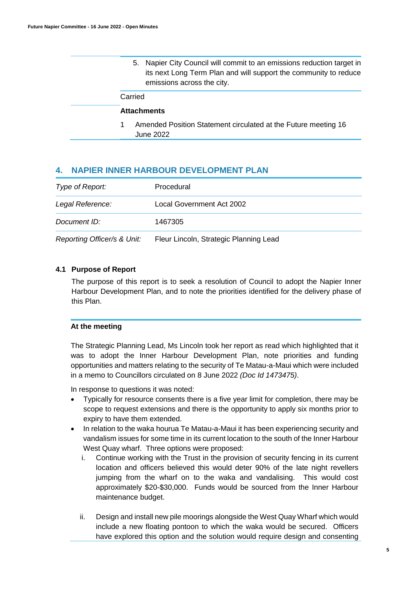5. Napier City Council will commit to an emissions reduction target in its next Long Term Plan and will support the community to reduce emissions across the city.

## Carried

# **Attachments**

1 Amended Position Statement circulated at the Future meeting 16 June 2022

# **4. NAPIER INNER HARBOUR DEVELOPMENT PLAN**

| Type of Report:             | Procedural                             |
|-----------------------------|----------------------------------------|
| Legal Reference:            | Local Government Act 2002              |
| Document ID:                | 1467305                                |
| Reporting Officer/s & Unit: | Fleur Lincoln, Strategic Planning Lead |

#### **4.1 Purpose of Report**

The purpose of this report is to seek a resolution of Council to adopt the Napier Inner Harbour Development Plan, and to note the priorities identified for the delivery phase of this Plan.

#### **At the meeting**

The Strategic Planning Lead, Ms Lincoln took her report as read which highlighted that it was to adopt the Inner Harbour Development Plan, note priorities and funding opportunities and matters relating to the security of Te Matau-a-Maui which were included in a memo to Councillors circulated on 8 June 2022 *(Doc Id 1473475)*.

In response to questions it was noted:

- Typically for resource consents there is a five year limit for completion, there may be scope to request extensions and there is the opportunity to apply six months prior to expiry to have them extended.
- In relation to the waka hourua Te Matau-a-Maui it has been experiencing security and vandalism issues for some time in its current location to the south of the Inner Harbour West Quay wharf. Three options were proposed:
	- i. Continue working with the Trust in the provision of security fencing in its current location and officers believed this would deter 90% of the late night revellers jumping from the wharf on to the waka and vandalising. This would cost approximately \$20-\$30,000. Funds would be sourced from the Inner Harbour maintenance budget.
	- ii. Design and install new pile moorings alongside the West Quay Wharf which would include a new floating pontoon to which the waka would be secured. Officers have explored this option and the solution would require design and consenting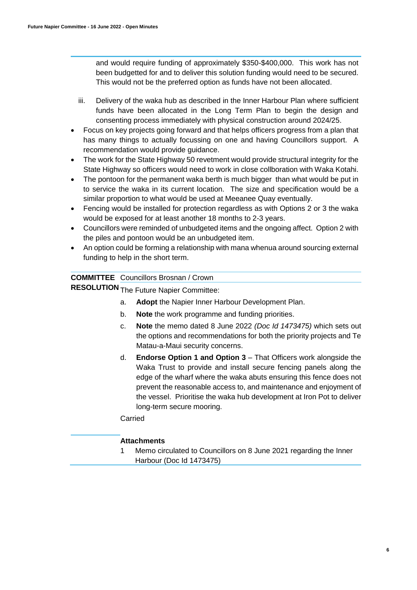and would require funding of approximately \$350-\$400,000. This work has not been budgetted for and to deliver this solution funding would need to be secured. This would not be the preferred option as funds have not been allocated.

- iii. Delivery of the waka hub as described in the Inner Harbour Plan where sufficient funds have been allocated in the Long Term Plan to begin the design and consenting process immediately with physical construction around 2024/25.
- Focus on key projects going forward and that helps officers progress from a plan that has many things to actually focussing on one and having Councillors support. A recommendation would provide guidance.
- The work for the State Highway 50 revetment would provide structural integrity for the State Highway so officers would need to work in close collboration with Waka Kotahi.
- The pontoon for the permanent waka berth is much bigger than what would be put in to service the waka in its current location. The size and specification would be a similar proportion to what would be used at Meeanee Quay eventually.
- Fencing would be installed for protection regardless as with Options 2 or 3 the waka would be exposed for at least another 18 months to 2-3 years.
- Councillors were reminded of unbudgeted items and the ongoing affect. Option 2 with the piles and pontoon would be an unbudgeted item.
- An option could be forming a relationship with mana whenua around sourcing external funding to help in the short term.

# **COMMITTEE**  Councillors Brosnan / Crown

**RESOLUTION** The Future Napier Committee:

- a. **Adopt** the Napier Inner Harbour Development Plan.
- b. **Note** the work programme and funding priorities.
- c. **Note** the memo dated 8 June 2022 *(Doc Id 1473475)* which sets out the options and recommendations for both the priority projects and Te Matau-a-Maui security concerns.
- d. **Endorse Option 1 and Option 3** That Officers work alongside the Waka Trust to provide and install secure fencing panels along the edge of the wharf where the waka abuts ensuring this fence does not prevent the reasonable access to, and maintenance and enjoyment of the vessel. Prioritise the waka hub development at Iron Pot to deliver long-term secure mooring.

Carried

# **Attachments**

1 Memo circulated to Councillors on 8 June 2021 regarding the Inner Harbour (Doc Id 1473475)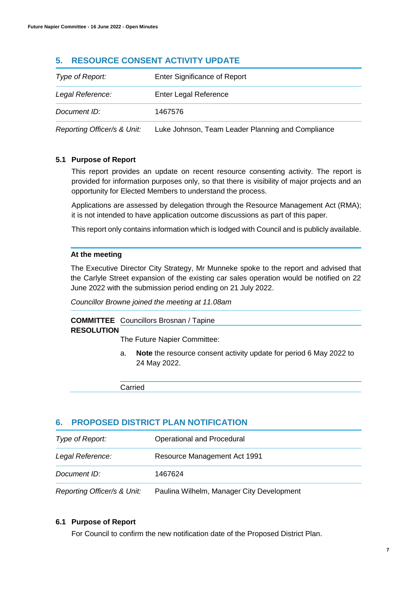# **5. RESOURCE CONSENT ACTIVITY UPDATE**

| Type of Report:             | <b>Enter Significance of Report</b>               |
|-----------------------------|---------------------------------------------------|
| Legal Reference:            | Enter Legal Reference                             |
| Document ID:                | 1467576                                           |
| Reporting Officer/s & Unit: | Luke Johnson, Team Leader Planning and Compliance |

# **5.1 Purpose of Report**

This report provides an update on recent resource consenting activity. The report is provided for information purposes only, so that there is visibility of major projects and an opportunity for Elected Members to understand the process.

Applications are assessed by delegation through the Resource Management Act (RMA); it is not intended to have application outcome discussions as part of this paper.

This report only contains information which is lodged with Council and is publicly available.

# **At the meeting**

The Executive Director City Strategy, Mr Munneke spoke to the report and advised that the Carlyle Street expansion of the existing car sales operation would be notified on 22 June 2022 with the submission period ending on 21 July 2022.

*Councillor Browne joined the meeting at 11.08am*

### **COMMITTEE**  Councillors Brosnan / Tapine **RESOLUTION**

The Future Napier Committee:

a. **Note** the resource consent activity update for period 6 May 2022 to 24 May 2022.

Carried

# **6. PROPOSED DISTRICT PLAN NOTIFICATION**

| Type of Report:             | Operational and Procedural                |
|-----------------------------|-------------------------------------------|
| Legal Reference:            | Resource Management Act 1991              |
| Document ID:                | 1467624                                   |
| Reporting Officer/s & Unit: | Paulina Wilhelm, Manager City Development |

#### **6.1 Purpose of Report**

For Council to confirm the new notification date of the Proposed District Plan.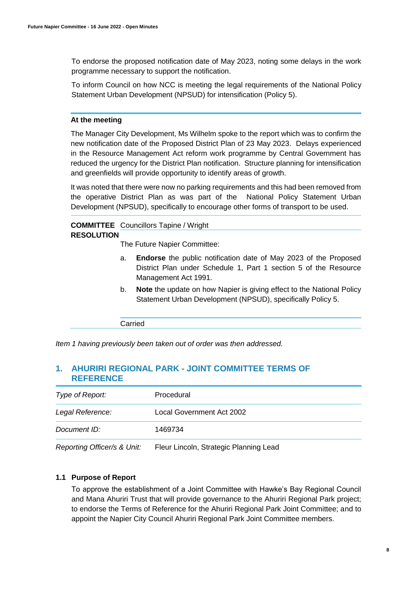To endorse the proposed notification date of May 2023, noting some delays in the work programme necessary to support the notification.

To inform Council on how NCC is meeting the legal requirements of the National Policy Statement Urban Development (NPSUD) for intensification (Policy 5).

#### **At the meeting**

The Manager City Development, Ms Wilhelm spoke to the report which was to confirm the new notification date of the Proposed District Plan of 23 May 2023. Delays experienced in the Resource Management Act reform work programme by Central Government has reduced the urgency for the District Plan notification. Structure planning for intensification and greenfields will provide opportunity to identify areas of growth.

It was noted that there were now no parking requirements and this had been removed from the operative District Plan as was part of the National Policy Statement Urban Development (NPSUD), specifically to encourage other forms of transport to be used.

#### **COMMITTEE** Councillors Tapine / Wright **RESOLUTION**

The Future Napier Committee:

- a. **Endorse** the public notification date of May 2023 of the Proposed District Plan under Schedule 1, Part 1 section 5 of the Resource Management Act 1991.
- b. **Note** the update on how Napier is giving effect to the National Policy Statement Urban Development (NPSUD), specifically Policy 5.

Carried

*Item 1 having previously been taken out of order was then addressed.*

# **1. AHURIRI REGIONAL PARK - JOINT COMMITTEE TERMS OF REFERENCE**

| Type of Report:             | Procedural                             |
|-----------------------------|----------------------------------------|
| Legal Reference:            | Local Government Act 2002              |
| Document ID:                | 1469734                                |
| Reporting Officer/s & Unit: | Fleur Lincoln, Strategic Planning Lead |

#### **1.1 Purpose of Report**

To approve the establishment of a Joint Committee with Hawke's Bay Regional Council and Mana Ahuriri Trust that will provide governance to the Ahuriri Regional Park project; to endorse the Terms of Reference for the Ahuriri Regional Park Joint Committee; and to appoint the Napier City Council Ahuriri Regional Park Joint Committee members.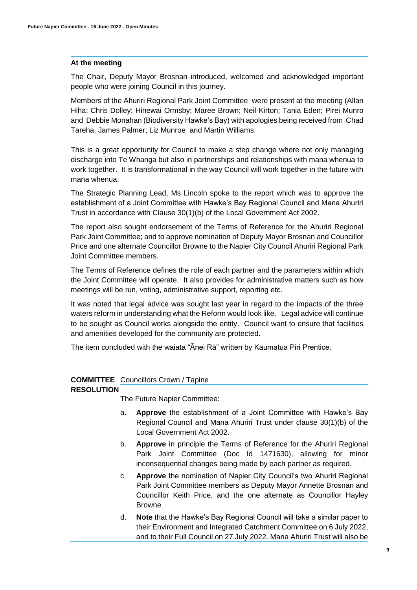#### **At the meeting**

The Chair, Deputy Mayor Brosnan introduced, welcomed and acknowledged important people who were joining Council in this journey.

Members of the Ahuriri Regional Park Joint Committee were present at the meeting (Allan Hiha; Chris Dolley; Hinewai Ormsby; Maree Brown; Neil Kirton; Tania Eden; Pirei Munro and Debbie Monahan (Biodiversity Hawke's Bay) with apologies being received from Chad Tareha, James Palmer; Liz Munroe and Martin Williams.

This is a great opportunity for Council to make a step change where not only managing discharge into Te Whanga but also in partnerships and relationships with mana whenua to work together. It is transformational in the way Council will work together in the future with mana whenua.

The Strategic Planning Lead, Ms Lincoln spoke to the report which was to approve the establishment of a Joint Committee with Hawke's Bay Regional Council and Mana Ahuriri Trust in accordance with Clause 30(1)(b) of the Local Government Act 2002.

The report also sought endorsement of the Terms of Reference for the Ahuriri Regional Park Joint Committee; and to approve nomination of Deputy Mayor Brosnan and Councillor Price and one alternate Councillor Browne to the Napier City Council Ahuriri Regional Park Joint Committee members.

The Terms of Reference defines the role of each partner and the parameters within which the Joint Committee will operate. It also provides for administrative matters such as how meetings will be run, voting, administrative support, reporting etc.

It was noted that legal advice was sought last year in regard to the impacts of the three waters reform in understanding what the Reform would look like. Legal advice will continue to be sought as Council works alongside the entity. Council want to ensure that facilities and amenities developed for the community are protected.

The item concluded with the waiata "Ānei Rā" written by Kaumatua Piri Prentice.

# **COMMITTEE**  Councillors Crown / Tapine

#### **RESOLUTION**

The Future Napier Committee:

- a. **Approve** the establishment of a Joint Committee with Hawke's Bay Regional Council and Mana Ahuriri Trust under clause 30(1)(b) of the Local Government Act 2002.
- b. **Approve** in principle the Terms of Reference for the Ahuriri Regional Park Joint Committee (Doc Id 1471630), allowing for minor inconsequential changes being made by each partner as required.
- c. **Approve** the nomination of Napier City Council's two Ahuriri Regional Park Joint Committee members as Deputy Mayor Annette Brosnan and Councillor Keith Price, and the one alternate as Councillor Hayley Browne
- d. **Note** that the Hawke's Bay Regional Council will take a similar paper to their Environment and Integrated Catchment Committee on 6 July 2022, and to their Full Council on 27 July 2022. Mana Ahuriri Trust will also be